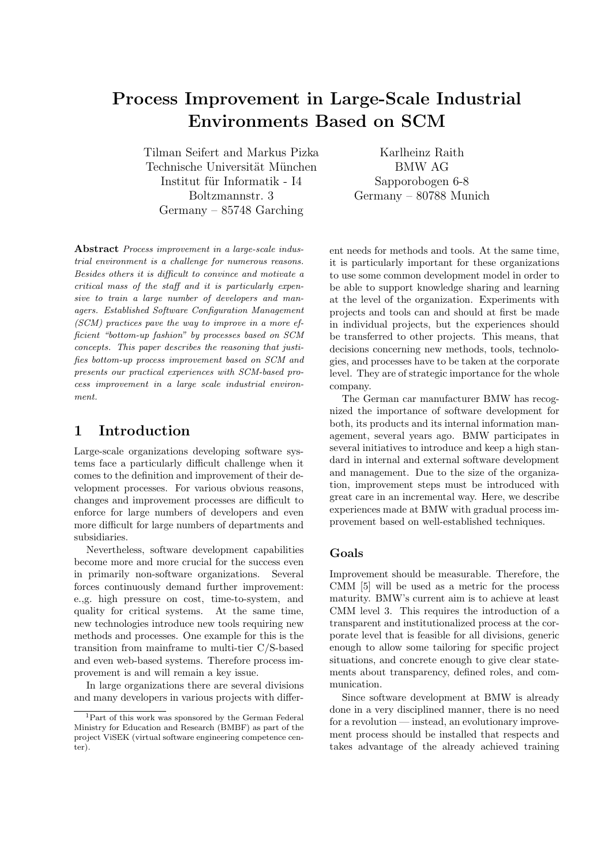# Process Improvement in Large-Scale Industrial Environments Based on SCM

Tilman Seifert and Markus Pizka Technische Universität München Institut für Informatik - I4 Boltzmannstr. 3 Germany – 85748 Garching

Karlheinz Raith BMW AG Sapporobogen 6-8 Germany – 80788 Munich

Abstract Process improvement in a large-scale industrial environment is a challenge for numerous reasons. Besides others it is difficult to convince and motivate a critical mass of the staff and it is particularly expensive to train a large number of developers and managers. Established Software Configuration Management (SCM) practices pave the way to improve in a more efficient "bottom-up fashion" by processes based on SCM concepts. This paper describes the reasoning that justifies bottom-up process improvement based on SCM and presents our practical experiences with SCM-based process improvement in a large scale industrial environment.

### 1 Introduction

Large-scale organizations developing software systems face a particularly difficult challenge when it comes to the definition and improvement of their development processes. For various obvious reasons, changes and improvement processes are difficult to enforce for large numbers of developers and even more difficult for large numbers of departments and subsidiaries.

Nevertheless, software development capabilities become more and more crucial for the success even in primarily non-software organizations. Several forces continuously demand further improvement: e.,g. high pressure on cost, time-to-system, and quality for critical systems. At the same time, new technologies introduce new tools requiring new methods and processes. One example for this is the transition from mainframe to multi-tier C/S-based and even web-based systems. Therefore process improvement is and will remain a key issue.

In large organizations there are several divisions and many developers in various projects with different needs for methods and tools. At the same time, it is particularly important for these organizations to use some common development model in order to be able to support knowledge sharing and learning at the level of the organization. Experiments with projects and tools can and should at first be made in individual projects, but the experiences should be transferred to other projects. This means, that decisions concerning new methods, tools, technologies, and processes have to be taken at the corporate level. They are of strategic importance for the whole company.

The German car manufacturer BMW has recognized the importance of software development for both, its products and its internal information management, several years ago. BMW participates in several initiatives to introduce and keep a high standard in internal and external software development and management. Due to the size of the organization, improvement steps must be introduced with great care in an incremental way. Here, we describe experiences made at BMW with gradual process improvement based on well-established techniques.

#### Goals

Improvement should be measurable. Therefore, the CMM [5] will be used as a metric for the process maturity. BMW's current aim is to achieve at least CMM level 3. This requires the introduction of a transparent and institutionalized process at the corporate level that is feasible for all divisions, generic enough to allow some tailoring for specific project situations, and concrete enough to give clear statements about transparency, defined roles, and communication.

Since software development at BMW is already done in a very disciplined manner, there is no need for a revolution — instead, an evolutionary improvement process should be installed that respects and takes advantage of the already achieved training

<sup>1</sup>Part of this work was sponsored by the German Federal Ministry for Education and Research (BMBF) as part of the project ViSEK (virtual software engineering competence center).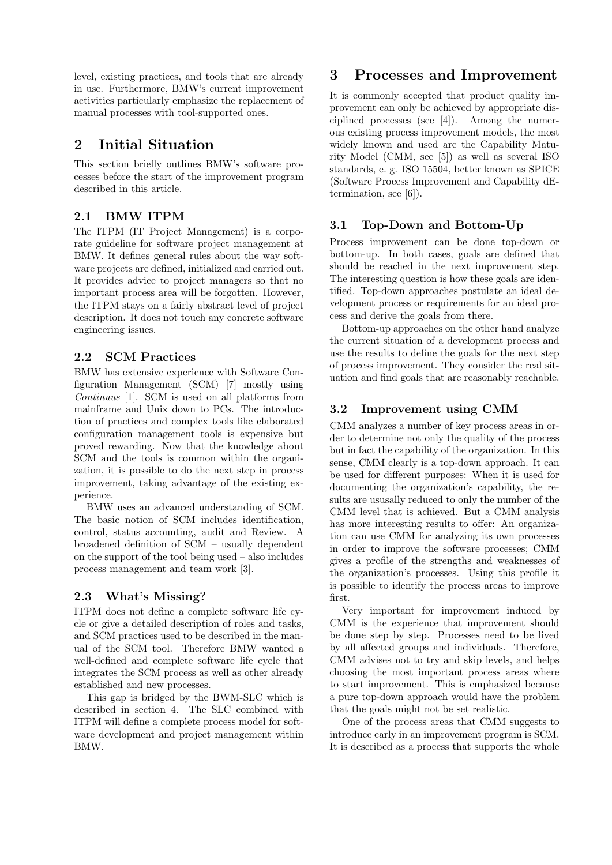level, existing practices, and tools that are already in use. Furthermore, BMW's current improvement activities particularly emphasize the replacement of manual processes with tool-supported ones.

### 2 Initial Situation

This section briefly outlines BMW's software processes before the start of the improvement program described in this article.

### 2.1 BMW ITPM

The ITPM (IT Project Management) is a corporate guideline for software project management at BMW. It defines general rules about the way software projects are defined, initialized and carried out. It provides advice to project managers so that no important process area will be forgotten. However, the ITPM stays on a fairly abstract level of project description. It does not touch any concrete software engineering issues.

### 2.2 SCM Practices

BMW has extensive experience with Software Configuration Management (SCM) [7] mostly using Continuus [1]. SCM is used on all platforms from mainframe and Unix down to PCs. The introduction of practices and complex tools like elaborated configuration management tools is expensive but proved rewarding. Now that the knowledge about SCM and the tools is common within the organization, it is possible to do the next step in process improvement, taking advantage of the existing experience.

BMW uses an advanced understanding of SCM. The basic notion of SCM includes identification, control, status accounting, audit and Review. A broadened definition of SCM – usually dependent on the support of the tool being used – also includes process management and team work [3].

### 2.3 What's Missing?

ITPM does not define a complete software life cycle or give a detailed description of roles and tasks, and SCM practices used to be described in the manual of the SCM tool. Therefore BMW wanted a well-defined and complete software life cycle that integrates the SCM process as well as other already established and new processes.

This gap is bridged by the BWM-SLC which is described in section 4. The SLC combined with ITPM will define a complete process model for software development and project management within BMW.

## 3 Processes and Improvement

It is commonly accepted that product quality improvement can only be achieved by appropriate disciplined processes (see [4]). Among the numerous existing process improvement models, the most widely known and used are the Capability Maturity Model (CMM, see [5]) as well as several ISO standards, e. g. ISO 15504, better known as SPICE (Software Process Improvement and Capability dEtermination, see [6]).

### 3.1 Top-Down and Bottom-Up

Process improvement can be done top-down or bottom-up. In both cases, goals are defined that should be reached in the next improvement step. The interesting question is how these goals are identified. Top-down approaches postulate an ideal development process or requirements for an ideal process and derive the goals from there.

Bottom-up approaches on the other hand analyze the current situation of a development process and use the results to define the goals for the next step of process improvement. They consider the real situation and find goals that are reasonably reachable.

### 3.2 Improvement using CMM

CMM analyzes a number of key process areas in order to determine not only the quality of the process but in fact the capability of the organization. In this sense, CMM clearly is a top-down approach. It can be used for different purposes: When it is used for documenting the organization's capability, the results are ususally reduced to only the number of the CMM level that is achieved. But a CMM analysis has more interesting results to offer: An organization can use CMM for analyzing its own processes in order to improve the software processes; CMM gives a profile of the strengths and weaknesses of the organization's processes. Using this profile it is possible to identify the process areas to improve first.

Very important for improvement induced by CMM is the experience that improvement should be done step by step. Processes need to be lived by all affected groups and individuals. Therefore, CMM advises not to try and skip levels, and helps choosing the most important process areas where to start improvement. This is emphasized because a pure top-down approach would have the problem that the goals might not be set realistic.

One of the process areas that CMM suggests to introduce early in an improvement program is SCM. It is described as a process that supports the whole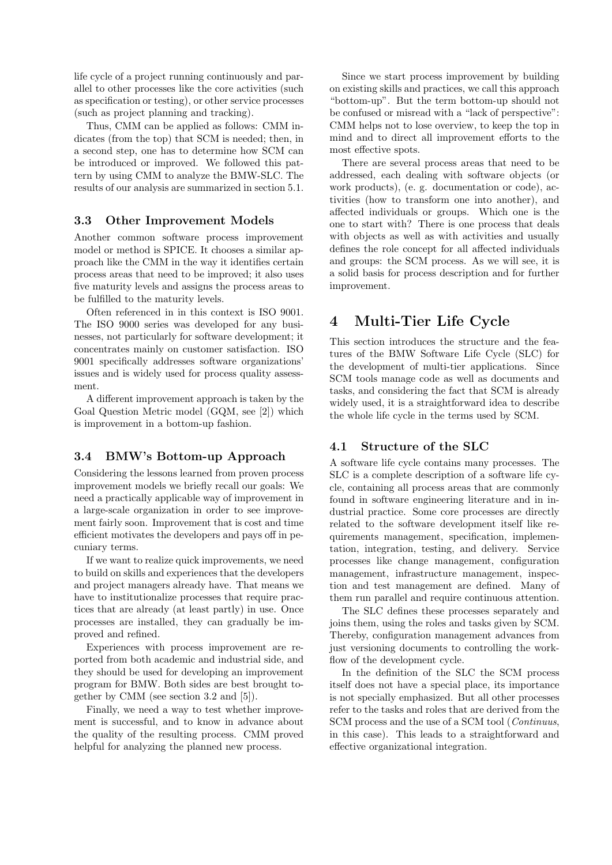life cycle of a project running continuously and parallel to other processes like the core activities (such as specification or testing), or other service processes (such as project planning and tracking).

Thus, CMM can be applied as follows: CMM indicates (from the top) that SCM is needed; then, in a second step, one has to determine how SCM can be introduced or improved. We followed this pattern by using CMM to analyze the BMW-SLC. The results of our analysis are summarized in section 5.1.

#### 3.3 Other Improvement Models

Another common software process improvement model or method is SPICE. It chooses a similar approach like the CMM in the way it identifies certain process areas that need to be improved; it also uses five maturity levels and assigns the process areas to be fulfilled to the maturity levels.

Often referenced in in this context is ISO 9001. The ISO 9000 series was developed for any businesses, not particularly for software development; it concentrates mainly on customer satisfaction. ISO 9001 specifically addresses software organizations' issues and is widely used for process quality assessment.

A different improvement approach is taken by the Goal Question Metric model (GQM, see [2]) which is improvement in a bottom-up fashion.

#### 3.4 BMW's Bottom-up Approach

Considering the lessons learned from proven process improvement models we briefly recall our goals: We need a practically applicable way of improvement in a large-scale organization in order to see improvement fairly soon. Improvement that is cost and time efficient motivates the developers and pays off in pecuniary terms.

If we want to realize quick improvements, we need to build on skills and experiences that the developers and project managers already have. That means we have to institutionalize processes that require practices that are already (at least partly) in use. Once processes are installed, they can gradually be improved and refined.

Experiences with process improvement are reported from both academic and industrial side, and they should be used for developing an improvement program for BMW. Both sides are best brought together by CMM (see section 3.2 and [5]).

Finally, we need a way to test whether improvement is successful, and to know in advance about the quality of the resulting process. CMM proved helpful for analyzing the planned new process.

Since we start process improvement by building on existing skills and practices, we call this approach "bottom-up". But the term bottom-up should not be confused or misread with a "lack of perspective": CMM helps not to lose overview, to keep the top in mind and to direct all improvement efforts to the most effective spots.

There are several process areas that need to be addressed, each dealing with software objects (or work products), (e. g. documentation or code), activities (how to transform one into another), and affected individuals or groups. Which one is the one to start with? There is one process that deals with objects as well as with activities and usually defines the role concept for all affected individuals and groups: the SCM process. As we will see, it is a solid basis for process description and for further improvement.

### 4 Multi-Tier Life Cycle

This section introduces the structure and the features of the BMW Software Life Cycle (SLC) for the development of multi-tier applications. Since SCM tools manage code as well as documents and tasks, and considering the fact that SCM is already widely used, it is a straightforward idea to describe the whole life cycle in the terms used by SCM.

#### 4.1 Structure of the SLC

A software life cycle contains many processes. The SLC is a complete description of a software life cycle, containing all process areas that are commonly found in software engineering literature and in industrial practice. Some core processes are directly related to the software development itself like requirements management, specification, implementation, integration, testing, and delivery. Service processes like change management, configuration management, infrastructure management, inspection and test management are defined. Many of them run parallel and require continuous attention.

The SLC defines these processes separately and joins them, using the roles and tasks given by SCM. Thereby, configuration management advances from just versioning documents to controlling the workflow of the development cycle.

In the definition of the SLC the SCM process itself does not have a special place, its importance is not specially emphasized. But all other processes refer to the tasks and roles that are derived from the SCM process and the use of a SCM tool (*Continuus*, in this case). This leads to a straightforward and effective organizational integration.